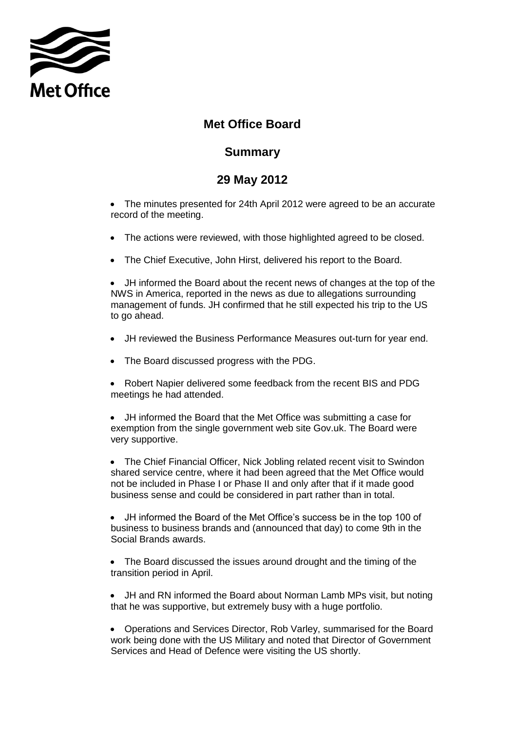

## **Met Office Board**

## **Summary**

## **29 May 2012**

 The minutes presented for 24th April 2012 were agreed to be an accurate record of the meeting.

- The actions were reviewed, with those highlighted agreed to be closed.
- The Chief Executive, John Hirst, delivered his report to the Board.

 JH informed the Board about the recent news of changes at the top of the NWS in America, reported in the news as due to allegations surrounding management of funds. JH confirmed that he still expected his trip to the US to go ahead.

- JH reviewed the Business Performance Measures out-turn for year end.
- The Board discussed progress with the PDG.
- Robert Napier delivered some feedback from the recent BIS and PDG meetings he had attended.

 JH informed the Board that the Met Office was submitting a case for exemption from the single government web site Gov.uk. The Board were very supportive.

 The Chief Financial Officer, Nick Jobling related recent visit to Swindon shared service centre, where it had been agreed that the Met Office would not be included in Phase I or Phase II and only after that if it made good business sense and could be considered in part rather than in total.

 JH informed the Board of the Met Office's success be in the top 100 of business to business brands and (announced that day) to come 9th in the Social Brands awards.

• The Board discussed the issues around drought and the timing of the transition period in April.

 JH and RN informed the Board about Norman Lamb MPs visit, but noting that he was supportive, but extremely busy with a huge portfolio.

 Operations and Services Director, Rob Varley, summarised for the Board work being done with the US Military and noted that Director of Government Services and Head of Defence were visiting the US shortly.